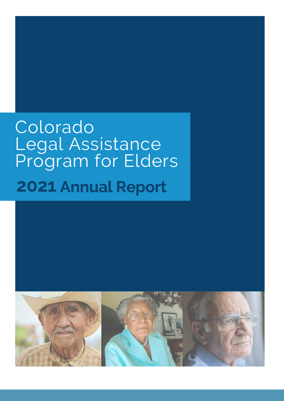# **2021 Annual Report**Colorado Legal Assistance Program for Elders

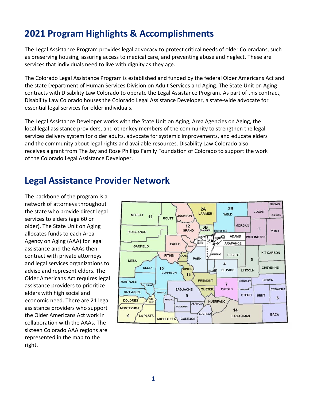# **2021 Program Highlights & Accomplishments**

The Legal Assistance Program provides legal advocacy to protect critical needs of older Coloradans, such as preserving housing, assuring access to medical care, and preventing abuse and neglect. These are services that individuals need to live with dignity as they age.

The Colorado Legal Assistance Program is established and funded by the federal Older Americans Act and the state Department of Human Services Division on Adult Services and Aging. The State Unit on Aging contracts with Disability Law Colorado to operate the Legal Assistance Program. As part of this contract, Disability Law Colorado houses the Colorado Legal Assistance Developer, a state-wide advocate for essential legal services for older individuals.

The Legal Assistance Developer works with the State Unit on Aging, Area Agencies on Aging, the local legal assistance providers, and other key members of the community to strengthen the legal services delivery system for older adults, advocate for systemic improvements, and educate elders and the community about legal rights and available resources. Disability Law Colorado also receives a grant from The Jay and Rose Phillips Family Foundation of Colorado to support the work of the Colorado Legal Assistance Developer.

# **Legal Assistance Provider Network**

The backbone of the program is a network of attorneys throughout the state who provide direct legal services to elders (age 60 or older). The State Unit on Aging allocates funds to each Area Agency on Aging (AAA) for legal assistance and the AAAs then contract with private attorneys and legal services organizations to advise and represent elders. The Older Americans Act requires legal assistance providers to prioritize elders with high social and economic need. There are 21 legal assistance providers who support the Older Americans Act work in collaboration with the AAAs. The sixteen Colorado AAA regions are represented in the map to the right.

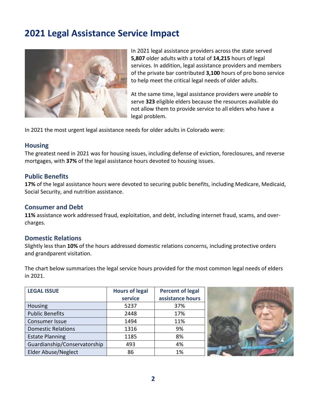# **2021 Legal Assistance Service Impact**



In 2021 legal assistance providers across the state served **5,807** older adults with a total of **14,215** hours of legal services. In addition, legal assistance providers and members of the private bar contributed **3,100** hours of pro bono service to help meet the critical legal needs of older adults.

At the same time, legal assistance providers were *unable* to serve **323** eligible elders because the resources available do not allow them to provide service to all elders who have a legal problem.

In 2021 the most urgent legal assistance needs for older adults in Colorado were:

#### **Housing**

The greatest need in 2021 was for housing issues, including defense of eviction, foreclosures, and reverse mortgages, with **37%** of the legal assistance hours devoted to housing issues.

#### **Public Benefits**

**17%** of the legal assistance hours were devoted to securing public benefits, including Medicare, Medicaid, Social Security, and nutrition assistance.

#### **Consumer and Debt**

**11%** assistance work addressed fraud, exploitation, and debt, including internet fraud, scams, and overcharges.

#### **Domestic Relations**

Slightly less than **10%** of the hours addressed domestic relations concerns, including protective orders and grandparent visitation.

The chart below summarizes the legal service hours provided for the most common legal needs of elders in 2021.

| <b>LEGAL ISSUE</b>           | <b>Hours of legal</b> | <b>Percent of legal</b> |  |
|------------------------------|-----------------------|-------------------------|--|
|                              | service               | assistance hours        |  |
| <b>Housing</b>               | 5237                  | 37%                     |  |
| <b>Public Benefits</b>       | 2448                  | 17%                     |  |
| Consumer Issue               | 1494                  | 11%                     |  |
| <b>Domestic Relations</b>    | 1316                  | 9%                      |  |
| <b>Estate Planning</b>       | 1185                  | 8%                      |  |
| Guardianship/Conservatorship | 493                   | 4%                      |  |
| <b>Elder Abuse/Neglect</b>   | 86                    | 1%                      |  |

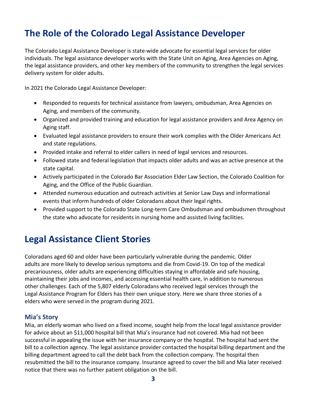# **The Role of the Colorado Legal Assistance Developer**

The Colorado Legal Assistance Developer is state-wide advocate for essential legal services for older individuals. The legal assistance developer works with the State Unit on Aging, Area Agencies on Aging, the legal assistance providers, and other key members of the community to strengthen the legal services delivery system for older adults.

In 2021 the Colorado Legal Assistance Developer:

- Responded to requests for technical assistance from lawyers, ombudsman, Area Agencies on Aging, and members of the community.
- Organized and provided training and education for legal assistance providers and Area Agency on Aging staff.
- Evaluated legal assistance providers to ensure their work complies with the Older Americans Act and state regulations.
- Provided intake and referral to elder callers in need of legal services and resources.
- Followed state and federal legislation that impacts older adults and was an active presence at the state capital.
- Actively participated in the Colorado Bar Association Elder Law Section, the Colorado Coalition for Aging, and the Office of the Public Guardian.
- Attended numerous education and outreach activities at Senior Law Days and informational events that inform hundreds of older Coloradans about their legal rights.
- Provided support to the Colorado State Long-term Care Ombudsman and ombudsmen throughout the state who advocate for residents in nursing home and assisted living facilities.

# **Legal Assistance Client Stories**

Coloradans aged 60 and older have been particularly vulnerable during the pandemic. Older adults are more likely to develop serious symptoms and die from Covid-19. On top of the medical precariousness, older adults are experiencing difficulties staying in affordable and safe housing, maintaining their jobs and incomes, and accessing essential health care, in addition to numerous other challenges. Each of the 5,807 elderly Coloradans who received legal services through the Legal Assistance Program for Elders has their own unique story. Here we share three stories of a elders who were served in the program during 2021.

#### **Mia's Story**

Mia, an elderly woman who lived on a fixed income, sought help from the local legal assistance provider for advice about an \$11,000 hospital bill that Mia's insurance had not covered. Mia had not been successful in appealing the issue with her insurance company or the hospital. The hospital had sent the bill to a collection agency. The legal assistance provider contacted the hospital billing department and the billing department agreed to call the debt back from the collection company. The hospital then resubmitted the bill to the insurance company. Insurance agreed to cover the bill and Mia later received notice that there was no further patient obligation on the bill.